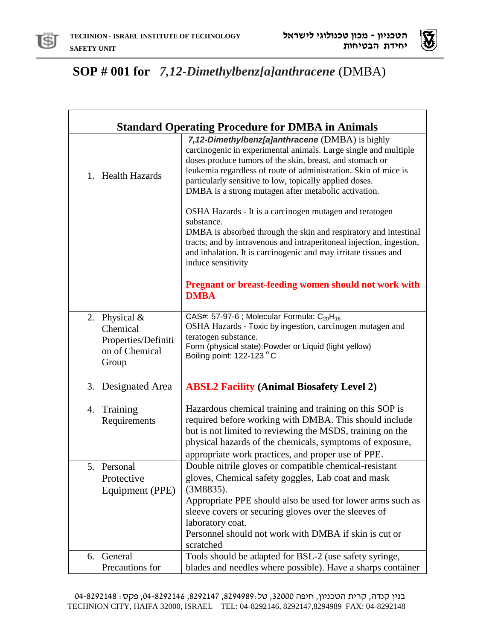

 $\mathsf{r}$ 



## **SOP # 001 for** *7,12-Dimethylbenz[a]anthracene* (DMBA)

| <b>Standard Operating Procedure for DMBA in Animals</b>                     |                                                                                                                                                                                                                                                                                                                                                                                                                                                                                                                                                                                                                                                                                                                                                                   |  |
|-----------------------------------------------------------------------------|-------------------------------------------------------------------------------------------------------------------------------------------------------------------------------------------------------------------------------------------------------------------------------------------------------------------------------------------------------------------------------------------------------------------------------------------------------------------------------------------------------------------------------------------------------------------------------------------------------------------------------------------------------------------------------------------------------------------------------------------------------------------|--|
| 1. Health Hazards                                                           | 7,12-Dimethylbenz[a]anthracene (DMBA) is highly<br>carcinogenic in experimental animals. Large single and multiple<br>doses produce tumors of the skin, breast, and stomach or<br>leukemia regardless of route of administration. Skin of mice is<br>particularly sensitive to low, topically applied doses.<br>DMBA is a strong mutagen after metabolic activation.<br>OSHA Hazards - It is a carcinogen mutagen and teratogen<br>substance.<br>DMBA is absorbed through the skin and respiratory and intestinal<br>tracts; and by intravenous and intraperitoneal injection, ingestion,<br>and inhalation. It is carcinogenic and may irritate tissues and<br>induce sensitivity<br><b>Pregnant or breast-feeding women should not work with</b><br><b>DMBA</b> |  |
| 2. Physical &<br>Chemical<br>Properties/Definiti<br>on of Chemical<br>Group | CAS#: 57-97-6 ; Molecular Formula: $C_{20}H_{16}$<br>OSHA Hazards - Toxic by ingestion, carcinogen mutagen and<br>teratogen substance.<br>Form (physical state): Powder or Liquid (light yellow)<br>Boiling point: 122-123 °C                                                                                                                                                                                                                                                                                                                                                                                                                                                                                                                                     |  |
| 3. Designated Area                                                          | <b>ABSL2 Facility (Animal Biosafety Level 2)</b>                                                                                                                                                                                                                                                                                                                                                                                                                                                                                                                                                                                                                                                                                                                  |  |
| Training<br>4.<br>Requirements                                              | Hazardous chemical training and training on this SOP is<br>required before working with DMBA. This should include<br>but is not limited to reviewing the MSDS, training on the<br>physical hazards of the chemicals, symptoms of exposure,<br>appropriate work practices, and proper use of PPE.                                                                                                                                                                                                                                                                                                                                                                                                                                                                  |  |
| 5. Personal<br>Protective<br>Equipment (PPE)                                | Double nitrile gloves or compatible chemical-resistant<br>gloves, Chemical safety goggles, Lab coat and mask<br>(3M8835).<br>Appropriate PPE should also be used for lower arms such as<br>sleeve covers or securing gloves over the sleeves of<br>laboratory coat.<br>Personnel should not work with DMBA if skin is cut or<br>scratched                                                                                                                                                                                                                                                                                                                                                                                                                         |  |
| 6. General<br>Precautions for                                               | Tools should be adapted for BSL-2 (use safety syringe,<br>blades and needles where possible). Have a sharps container                                                                                                                                                                                                                                                                                                                                                                                                                                                                                                                                                                                                                                             |  |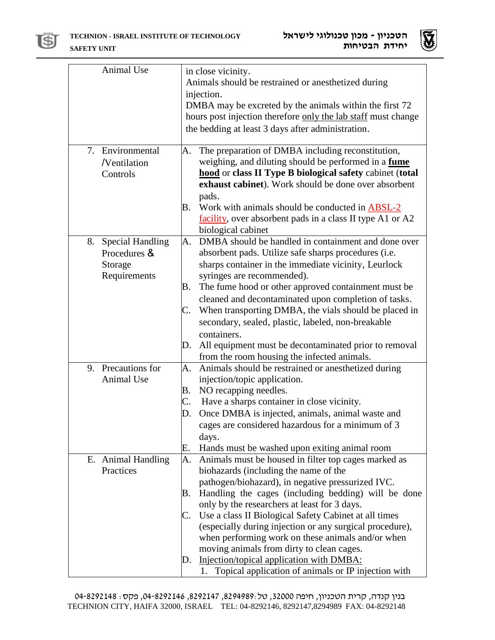



| Animal Use                    | in close vicinity.<br>Animals should be restrained or anesthetized during                                     |
|-------------------------------|---------------------------------------------------------------------------------------------------------------|
|                               | injection.                                                                                                    |
|                               | DMBA may be excreted by the animals within the first 72                                                       |
|                               | hours post injection therefore only the lab staff must change                                                 |
|                               | the bedding at least 3 days after administration.                                                             |
|                               |                                                                                                               |
| 7. Environmental              | The preparation of DMBA including reconstitution,<br>A.                                                       |
| /Ventilation                  | weighing, and diluting should be performed in a fume                                                          |
| Controls                      | hood or class II Type B biological safety cabinet (total                                                      |
|                               | exhaust cabinet). Work should be done over absorbent                                                          |
|                               | pads.                                                                                                         |
|                               | Work with animals should be conducted in <b>ABSL-2</b><br>В.                                                  |
|                               | facility, over absorbent pads in a class II type A1 or A2                                                     |
|                               | biological cabinet                                                                                            |
| <b>Special Handling</b><br>8. | DMBA should be handled in containment and done over<br>A.                                                     |
| Procedures &                  | absorbent pads. Utilize safe sharps procedures (i.e.                                                          |
| Storage                       | sharps container in the immediate vicinity, Leurlock                                                          |
| Requirements                  | syringes are recommended).                                                                                    |
|                               | The fume hood or other approved containment must be<br>Β.                                                     |
|                               | cleaned and decontaminated upon completion of tasks.                                                          |
|                               | When transporting DMBA, the vials should be placed in<br>C.                                                   |
|                               | secondary, sealed, plastic, labeled, non-breakable                                                            |
|                               | containers.                                                                                                   |
|                               | All equipment must be decontaminated prior to removal<br>D.                                                   |
|                               | from the room housing the infected animals.                                                                   |
| 9. Precautions for            | Animals should be restrained or anesthetized during<br>A.                                                     |
| Animal Use                    | injection/topic application.                                                                                  |
|                               | NO recapping needles.<br>B.                                                                                   |
|                               | Have a sharps container in close vicinity.<br>C.                                                              |
|                               | Once DMBA is injected, animals, animal waste and<br>D.                                                        |
|                               | cages are considered hazardous for a minimum of 3                                                             |
|                               | days.                                                                                                         |
|                               | Е.<br>Hands must be washed upon exiting animal room                                                           |
| E. Animal Handling            | A.<br>Animals must be housed in filter top cages marked as                                                    |
| Practices                     | biohazards (including the name of the                                                                         |
|                               | pathogen/biohazard), in negative pressurized IVC.                                                             |
|                               | Handling the cages (including bedding) will be done<br>Β.                                                     |
|                               | only by the researchers at least for 3 days.                                                                  |
|                               | Use a class II Biological Safety Cabinet at all times<br>C.                                                   |
|                               | (especially during injection or any surgical procedure),<br>when performing work on these animals and/or when |
|                               | moving animals from dirty to clean cages.                                                                     |
|                               | Injection/topical application with DMBA:<br>D.                                                                |
|                               | Topical application of animals or IP injection with<br>1.                                                     |
|                               |                                                                                                               |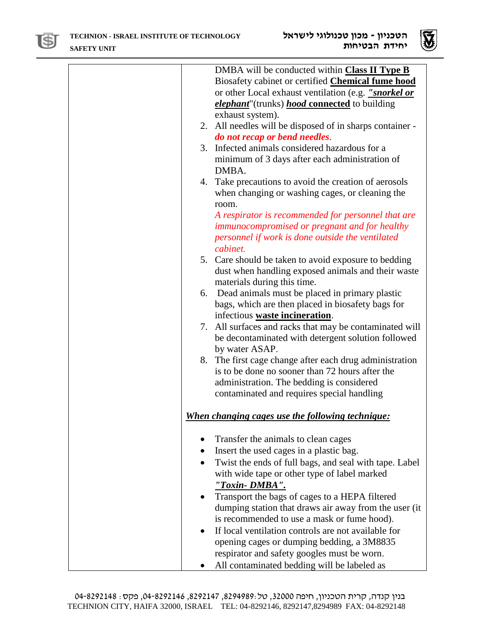



| DMBA will be conducted within Class II Type B<br>Biosafety cabinet or certified <b>Chemical fume hood</b><br>or other Local exhaust ventilation (e.g. "snorkel or<br><i>elephant</i> "(trunks) <i>hood</i> connected to building |
|----------------------------------------------------------------------------------------------------------------------------------------------------------------------------------------------------------------------------------|
| exhaust system).<br>2. All needles will be disposed of in sharps container -                                                                                                                                                     |
| do not recap or bend needles.                                                                                                                                                                                                    |
| 3. Infected animals considered hazardous for a<br>minimum of 3 days after each administration of<br>DMBA.                                                                                                                        |
| 4. Take precautions to avoid the creation of aerosols<br>when changing or washing cages, or cleaning the<br>room.                                                                                                                |
| A respirator is recommended for personnel that are<br>immunocompromised or pregnant and for healthy<br>personnel if work is done outside the ventilated<br>cabinet.                                                              |
| 5. Care should be taken to avoid exposure to bedding<br>dust when handling exposed animals and their waste<br>materials during this time.                                                                                        |
| 6. Dead animals must be placed in primary plastic<br>bags, which are then placed in biosafety bags for<br>infectious waste incineration.                                                                                         |
| 7. All surfaces and racks that may be contaminated will<br>be decontaminated with detergent solution followed<br>by water ASAP.                                                                                                  |
| 8. The first cage change after each drug administration<br>is to be done no sooner than 72 hours after the<br>administration. The bedding is considered<br>contaminated and requires special handling                            |
| When changing cages use the following technique:                                                                                                                                                                                 |
| Transfer the animals to clean cages                                                                                                                                                                                              |
| Insert the used cages in a plastic bag.                                                                                                                                                                                          |
| Twist the ends of full bags, and seal with tape. Label                                                                                                                                                                           |
| with wide tape or other type of label marked<br>"Toxin-DMBA".                                                                                                                                                                    |
| Transport the bags of cages to a HEPA filtered<br>dumping station that draws air away from the user (it<br>is recommended to use a mask or fume hood).                                                                           |
| If local ventilation controls are not available for<br>opening cages or dumping bedding, a 3M8835<br>respirator and safety googles must be worn.                                                                                 |
| All contaminated bedding will be labeled as                                                                                                                                                                                      |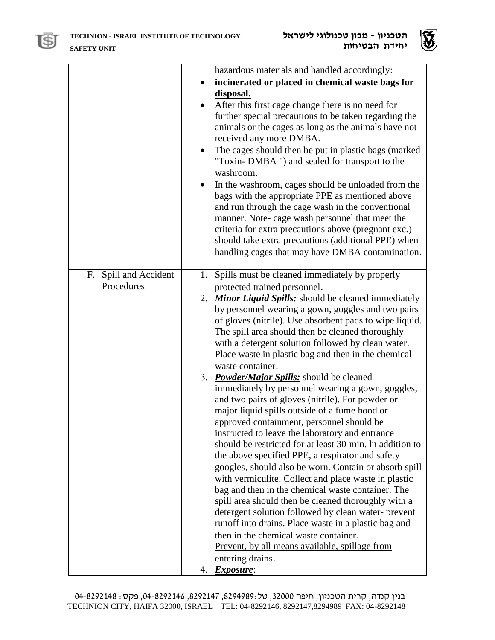



|                                     | hazardous materials and handled accordingly:<br>incinerated or placed in chemical waste bags for<br>disposal.<br>After this first cage change there is no need for<br>$\bullet$<br>further special precautions to be taken regarding the<br>animals or the cages as long as the animals have not<br>received any more DMBA.<br>The cages should then be put in plastic bags (marked<br>"Toxin-DMBA") and sealed for transport to the<br>washroom.<br>In the washroom, cages should be unloaded from the<br>bags with the appropriate PPE as mentioned above<br>and run through the cage wash in the conventional<br>manner. Note-cage wash personnel that meet the<br>criteria for extra precautions above (pregnant exc.)<br>should take extra precautions (additional PPE) when<br>handling cages that may have DMBA contamination.                                                                                                                                                                                                                                                                                                                                                                                                                                                                                                                       |
|-------------------------------------|-------------------------------------------------------------------------------------------------------------------------------------------------------------------------------------------------------------------------------------------------------------------------------------------------------------------------------------------------------------------------------------------------------------------------------------------------------------------------------------------------------------------------------------------------------------------------------------------------------------------------------------------------------------------------------------------------------------------------------------------------------------------------------------------------------------------------------------------------------------------------------------------------------------------------------------------------------------------------------------------------------------------------------------------------------------------------------------------------------------------------------------------------------------------------------------------------------------------------------------------------------------------------------------------------------------------------------------------------------------|
| F. Spill and Accident<br>Procedures | 1. Spills must be cleaned immediately by properly<br>protected trained personnel.<br>2. Minor Liquid Spills: should be cleaned immediately<br>by personnel wearing a gown, goggles and two pairs<br>of gloves (nitrile). Use absorbent pads to wipe liquid.<br>The spill area should then be cleaned thoroughly<br>with a detergent solution followed by clean water.<br>Place waste in plastic bag and then in the chemical<br>waste container.<br>3. Powder/Major Spills: should be cleaned<br>immediately by personnel wearing a gown, goggles,<br>and two pairs of gloves (nitrile). For powder or<br>major liquid spills outside of a fume hood or<br>approved containment, personnel should be<br>instructed to leave the laboratory and entrance<br>should be restricted for at least 30 min. In addition to<br>the above specified PPE, a respirator and safety<br>googles, should also be worn. Contain or absorb spill<br>with vermiculite. Collect and place waste in plastic<br>bag and then in the chemical waste container. The<br>spill area should then be cleaned thoroughly with a<br>detergent solution followed by clean water-prevent<br>runoff into drains. Place waste in a plastic bag and<br>then in the chemical waste container.<br>Prevent, by all means available, spillage from<br>entering drains.<br><i>Exposure:</i><br>4. |